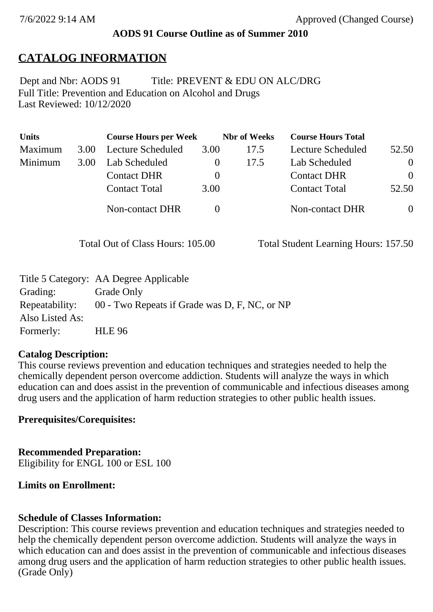### **AODS 91 Course Outline as of Summer 2010**

### **CATALOG INFORMATION**

Full Title: Prevention and Education on Alcohol and Drugs Last Reviewed: 10/12/2020 Dept and Nbr: AODS 91 Title: PREVENT & EDU ON ALC/DRG

| <b>Units</b> |      | <b>Course Hours per Week</b> |          | <b>Nbr</b> of Weeks | <b>Course Hours Total</b> |          |
|--------------|------|------------------------------|----------|---------------------|---------------------------|----------|
| Maximum      | 3.00 | Lecture Scheduled            | 3.00     | 17.5                | Lecture Scheduled         | 52.50    |
| Minimum      | 3.00 | Lab Scheduled                |          | 17.5                | Lab Scheduled             | $\theta$ |
|              |      | <b>Contact DHR</b>           | $\theta$ |                     | <b>Contact DHR</b>        | $\Omega$ |
|              |      | <b>Contact Total</b>         | 3.00     |                     | <b>Contact Total</b>      | 52.50    |
|              |      | Non-contact DHR              |          |                     | <b>Non-contact DHR</b>    | $\theta$ |

Total Out of Class Hours: 105.00 Total Student Learning Hours: 157.50

|                 | Title 5 Category: AA Degree Applicable        |
|-----------------|-----------------------------------------------|
| Grading:        | Grade Only                                    |
| Repeatability:  | 00 - Two Repeats if Grade was D, F, NC, or NP |
| Also Listed As: |                                               |
| Formerly:       | <b>HLE 96</b>                                 |

### **Catalog Description:**

This course reviews prevention and education techniques and strategies needed to help the chemically dependent person overcome addiction. Students will analyze the ways in which education can and does assist in the prevention of communicable and infectious diseases among drug users and the application of harm reduction strategies to other public health issues.

### **Prerequisites/Corequisites:**

**Recommended Preparation:** Eligibility for ENGL 100 or ESL 100

### **Limits on Enrollment:**

### **Schedule of Classes Information:**

Description: This course reviews prevention and education techniques and strategies needed to help the chemically dependent person overcome addiction. Students will analyze the ways in which education can and does assist in the prevention of communicable and infectious diseases among drug users and the application of harm reduction strategies to other public health issues. (Grade Only)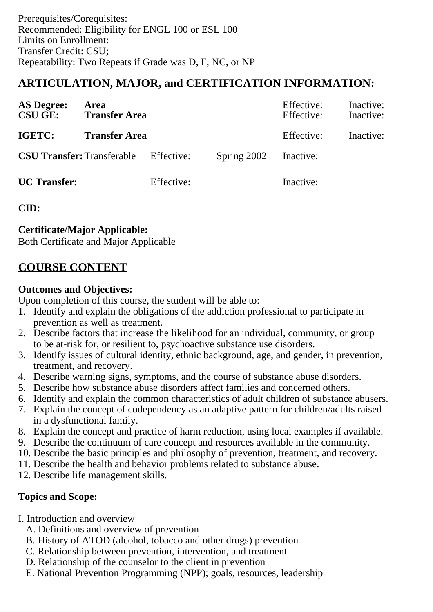# **ARTICULATION, MAJOR, and CERTIFICATION INFORMATION:**

| <b>AS Degree:</b><br><b>CSU GE:</b> | Area<br><b>Transfer Area</b> |            |             | Inactive:<br>Effective:<br>Effective:<br>Inactive: |           |
|-------------------------------------|------------------------------|------------|-------------|----------------------------------------------------|-----------|
| IGETC:<br><b>Transfer Area</b>      |                              |            |             | Effective:                                         | Inactive: |
| <b>CSU Transfer: Transferable</b>   |                              | Effective: | Spring 2002 | Inactive:                                          |           |
| <b>UC</b> Transfer:                 |                              | Effective: |             | Inactive:                                          |           |

**CID:**

### **Certificate/Major Applicable:**

[Both Certificate and Major Applicable](SR_ClassCheck.aspx?CourseKey=AODS91)

## **COURSE CONTENT**

### **Outcomes and Objectives:**

Upon completion of this course, the student will be able to:

- 1. Identify and explain the obligations of the addiction professional to participate in prevention as well as treatment.
- 2. Describe factors that increase the likelihood for an individual, community, or group to be at-risk for, or resilient to, psychoactive substance use disorders.
- 3. Identify issues of cultural identity, ethnic background, age, and gender, in prevention, treatment, and recovery.
- 4. Describe warning signs, symptoms, and the course of substance abuse disorders.
- 5. Describe how substance abuse disorders affect families and concerned others.
- 6. Identify and explain the common characteristics of adult children of substance abusers.
- 7. Explain the concept of codependency as an adaptive pattern for children/adults raised in a dysfunctional family.
- 8. Explain the concept and practice of harm reduction, using local examples if available.
- 9. Describe the continuum of care concept and resources available in the community.
- 10. Describe the basic principles and philosophy of prevention, treatment, and recovery.
- 11. Describe the health and behavior problems related to substance abuse.
- 12. Describe life management skills.

### **Topics and Scope:**

- I. Introduction and overview
	- A. Definitions and overview of prevention
	- B. History of ATOD (alcohol, tobacco and other drugs) prevention
	- C. Relationship between prevention, intervention, and treatment
	- D. Relationship of the counselor to the client in prevention
	- E. National Prevention Programming (NPP); goals, resources, leadership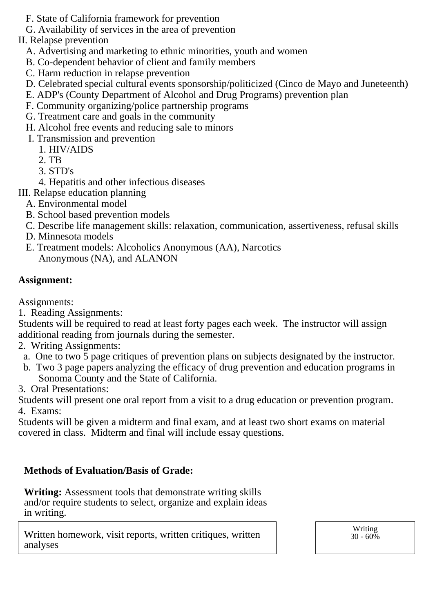- F. State of California framework for prevention
- G. Availability of services in the area of prevention
- II. Relapse prevention
	- A. Advertising and marketing to ethnic minorities, youth and women
	- B. Co-dependent behavior of client and family members
	- C. Harm reduction in relapse prevention
	- D. Celebrated special cultural events sponsorship/politicized (Cinco de Mayo and Juneteenth)
	- E. ADP's (County Department of Alcohol and Drug Programs) prevention plan
	- F. Community organizing/police partnership programs
	- G. Treatment care and goals in the community
	- H. Alcohol free events and reducing sale to minors
	- I. Transmission and prevention
		- 1. HIV/AIDS
		- 2. TB
		- 3. STD's
		- 4. Hepatitis and other infectious diseases
- III. Relapse education planning
	- A. Environmental model
	- B. School based prevention models
	- C. Describe life management skills: relaxation, communication, assertiveness, refusal skills
	- D. Minnesota models
	- E. Treatment models: Alcoholics Anonymous (AA), Narcotics Anonymous (NA), and ALANON

### **Assignment:**

Assignments:

1. Reading Assignments:

Students will be required to read at least forty pages each week. The instructor will assign additional reading from journals during the semester.

- 2. Writing Assignments:
- a. One to two 5 page critiques of prevention plans on subjects designated by the instructor.
- b. Two 3 page papers analyzing the efficacy of drug prevention and education programs in Sonoma County and the State of California.
- 3. Oral Presentations:

Students will present one oral report from a visit to a drug education or prevention program. 4. Exams:

Students will be given a midterm and final exam, and at least two short exams on material covered in class. Midterm and final will include essay questions.

### **Methods of Evaluation/Basis of Grade:**

**Writing:** Assessment tools that demonstrate writing skills and/or require students to select, organize and explain ideas in writing.

Written homework, visit reports, written critiques, written analyses

Writing  $30 - 60\%$